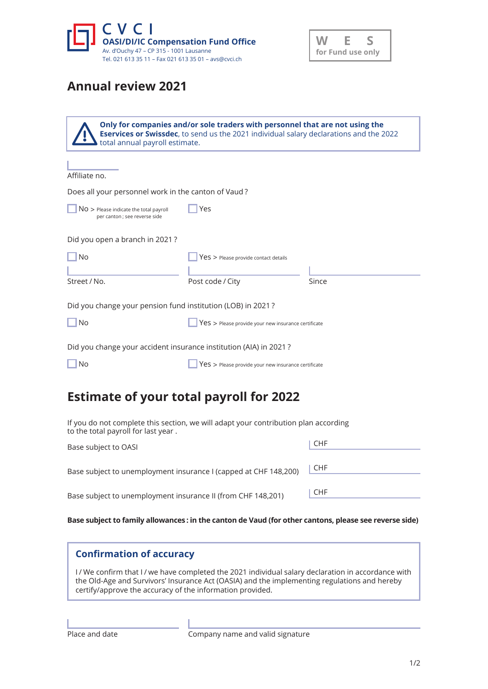



## **Annual review 2021**

| Only for companies and/or sole traders with personnel that are not using the<br><b>Eservices or Swissdec</b> , to send us the 2021 individual salary declarations and the 2022<br>total annual payroll estimate. |                                                       |       |  |  |
|------------------------------------------------------------------------------------------------------------------------------------------------------------------------------------------------------------------|-------------------------------------------------------|-------|--|--|
| Affiliate no.                                                                                                                                                                                                    |                                                       |       |  |  |
| Does all your personnel work in the canton of Vaud?                                                                                                                                                              |                                                       |       |  |  |
| $NO$ > Please indicate the total payroll<br>per canton; see reverse side                                                                                                                                         | Yes                                                   |       |  |  |
| Did you open a branch in 2021?                                                                                                                                                                                   |                                                       |       |  |  |
| No                                                                                                                                                                                                               | $Yes$ > Please provide contact details                |       |  |  |
|                                                                                                                                                                                                                  |                                                       |       |  |  |
| Street / No.                                                                                                                                                                                                     | Post code / City                                      | Since |  |  |
| Did you change your pension fund institution (LOB) in 2021?                                                                                                                                                      |                                                       |       |  |  |
| <b>No</b>                                                                                                                                                                                                        | Yes > Please provide your new insurance certificate   |       |  |  |
| Did you change your accident insurance institution (AIA) in 2021?                                                                                                                                                |                                                       |       |  |  |
| No                                                                                                                                                                                                               | $Yes$ > Please provide your new insurance certificate |       |  |  |
|                                                                                                                                                                                                                  |                                                       |       |  |  |

## **Estimate of your total payroll for 2022**

If you do not complete this section, we will adapt your contribution plan according to the total payroll for last year .

| Base subject to OASI                                             | CHF   |
|------------------------------------------------------------------|-------|
| Base subject to unemployment insurance I (capped at CHF 148,200) | ∥ CHF |
| Base subject to unemployment insurance II (from CHF 148,201)     | CHF   |

Base subject to family allowances : in the canton de Vaud (for other cantons, please see reverse side)

## **Confirmation of accuracy**

I / We confirm that I / we have completed the 2021 individual salary declaration in accordance with the Old-Age and Survivors' Insurance Act (OASIA) and the implementing regulations and hereby certify/approve the accuracy of the information provided.